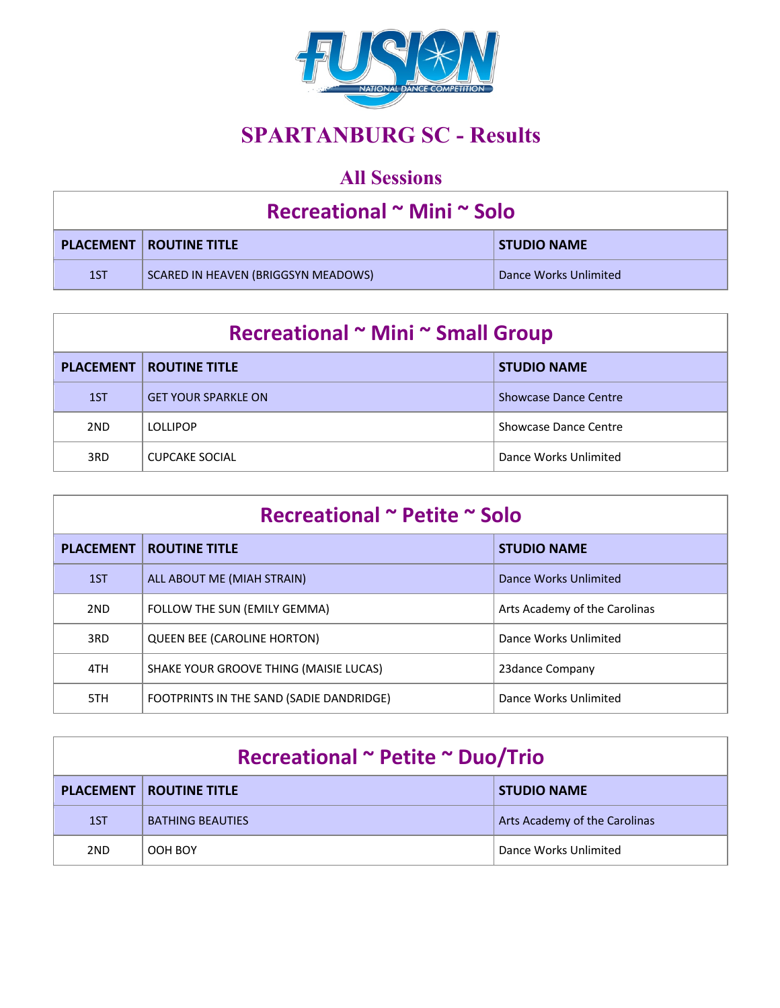

# **SPARTANBURG SC - Results**

## **All Sessions**

| Recreational ~ Mini ~ Solo |                                     |                       |
|----------------------------|-------------------------------------|-----------------------|
|                            | <b>PLACEMENT   ROUTINE TITLE</b>    | <b>STUDIO NAME</b>    |
| 1ST                        | SCARED IN HEAVEN (BRIGGSYN MEADOWS) | Dance Works Unlimited |

| Recreational ~ Mini ~ Small Group |                            |                              |
|-----------------------------------|----------------------------|------------------------------|
| <b>PLACEMENT</b>                  | <b>ROUTINE TITLE</b>       | <b>STUDIO NAME</b>           |
| 1ST                               | <b>GET YOUR SPARKLE ON</b> | <b>Showcase Dance Centre</b> |
| 2 <sub>ND</sub>                   | <b>LOLLIPOP</b>            | Showcase Dance Centre        |
| 3RD                               | <b>CUPCAKE SOCIAL</b>      | Dance Works Unlimited        |

| Recreational ~ Petite ~ Solo |                                          |                               |
|------------------------------|------------------------------------------|-------------------------------|
| <b>PLACEMENT</b>             | <b>ROUTINE TITLE</b>                     | <b>STUDIO NAME</b>            |
| 1ST                          | ALL ABOUT ME (MIAH STRAIN)               | Dance Works Unlimited         |
| 2ND                          | FOLLOW THE SUN (EMILY GEMMA)             | Arts Academy of the Carolinas |
| 3RD                          | <b>QUEEN BEE (CAROLINE HORTON)</b>       | Dance Works Unlimited         |
| 4TH                          | SHAKE YOUR GROOVE THING (MAISIE LUCAS)   | 23 dance Company              |
| 5TH                          | FOOTPRINTS IN THE SAND (SADIE DANDRIDGE) | Dance Works Unlimited         |

| Recreational ~ Petite ~ Duo/Trio |                                                        |                               |
|----------------------------------|--------------------------------------------------------|-------------------------------|
|                                  | <b>PLACEMENT   ROUTINE TITLE</b><br><b>STUDIO NAME</b> |                               |
| 1ST                              | <b>BATHING BEAUTIES</b>                                | Arts Academy of the Carolinas |
| 2ND                              | OOH BOY                                                | Dance Works Unlimited         |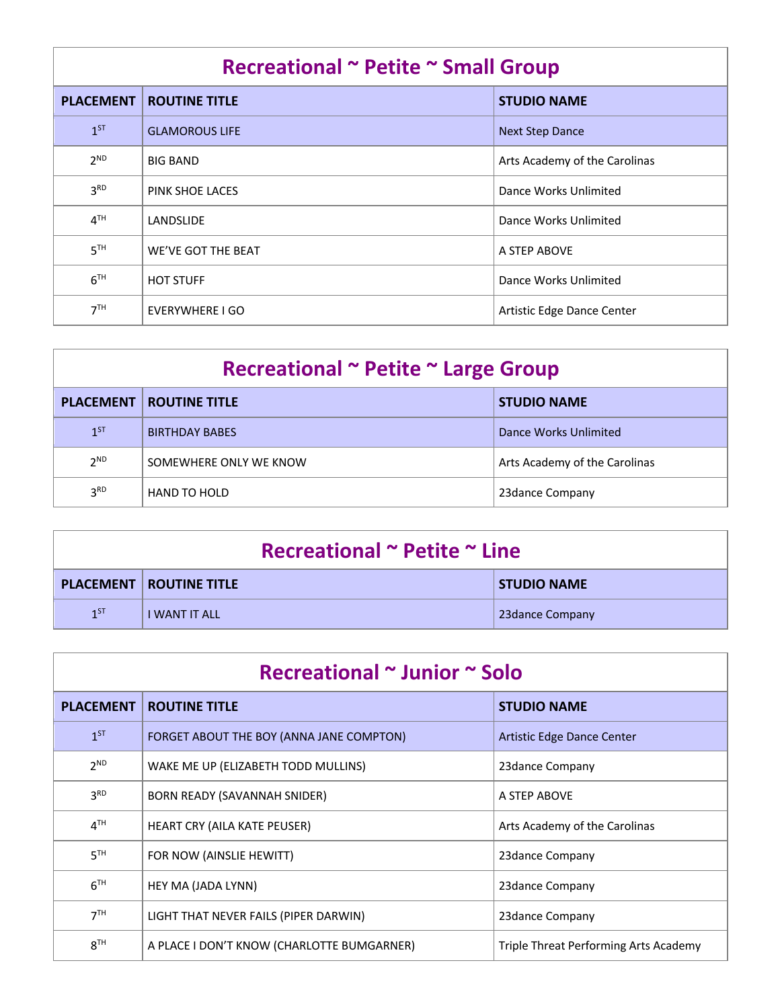| Recreational ~ Petite ~ Small Group |                       |                               |
|-------------------------------------|-----------------------|-------------------------------|
| <b>PLACEMENT</b>                    | <b>ROUTINE TITLE</b>  | <b>STUDIO NAME</b>            |
| $1^{ST}$                            | <b>GLAMOROUS LIFE</b> | <b>Next Step Dance</b>        |
| 2 <sup>ND</sup>                     | <b>BIG BAND</b>       | Arts Academy of the Carolinas |
| 3 <sup>RD</sup>                     | PINK SHOE LACES       | Dance Works Unlimited         |
| 4 <sup>TH</sup>                     | LANDSLIDE             | Dance Works Unlimited         |
| 5 <sup>TH</sup>                     | WE'VE GOT THE BEAT    | A STEP ABOVE                  |
| 6 <sup>TH</sup>                     | <b>HOT STUFF</b>      | Dance Works Unlimited         |
| 7 <sup>TH</sup>                     | EVERYWHERE I GO       | Artistic Edge Dance Center    |

| Recreational ~ Petite ~ Large Group |                        |                               |
|-------------------------------------|------------------------|-------------------------------|
| <b>PLACEMENT</b>                    | <b>ROUTINE TITLE</b>   | <b>STUDIO NAME</b>            |
| $1^{ST}$                            | <b>BIRTHDAY BABES</b>  | Dance Works Unlimited         |
| 2 <sup>ND</sup>                     | SOMEWHERE ONLY WE KNOW | Arts Academy of the Carolinas |
| 3 <sup>RD</sup>                     | <b>HAND TO HOLD</b>    | 23 dance Company              |

| Recreational $\sim$ Petite $\sim$ Line |                                  |                    |
|----------------------------------------|----------------------------------|--------------------|
|                                        | <b>PLACEMENT   ROUTINE TITLE</b> | <b>STUDIO NAME</b> |
| 1 <sub>5</sub>                         | <b>I WANT IT ALL</b>             | 23 dance Company   |

| Recreational ~ Junior ~ Solo |                                            |                                       |
|------------------------------|--------------------------------------------|---------------------------------------|
| <b>PLACEMENT</b>             | <b>ROUTINE TITLE</b>                       | <b>STUDIO NAME</b>                    |
| $1^{ST}$                     | FORGET ABOUT THE BOY (ANNA JANE COMPTON)   | Artistic Edge Dance Center            |
| $2^{ND}$                     | WAKE ME UP (ELIZABETH TODD MULLINS)        | 23 dance Company                      |
| 3 <sup>RD</sup>              | BORN READY (SAVANNAH SNIDER)               | A STEP ABOVE                          |
| 4 <sup>TH</sup>              | HEART CRY (AILA KATE PEUSER)               | Arts Academy of the Carolinas         |
| 5 <sup>TH</sup>              | FOR NOW (AINSLIE HEWITT)                   | 23 dance Company                      |
| 6 <sup>TH</sup>              | HEY MA (JADA LYNN)                         | 23 dance Company                      |
| 7 <sup>TH</sup>              | LIGHT THAT NEVER FAILS (PIPER DARWIN)      | 23 dance Company                      |
| 8 <sup>TH</sup>              | A PLACE I DON'T KNOW (CHARLOTTE BUMGARNER) | Triple Threat Performing Arts Academy |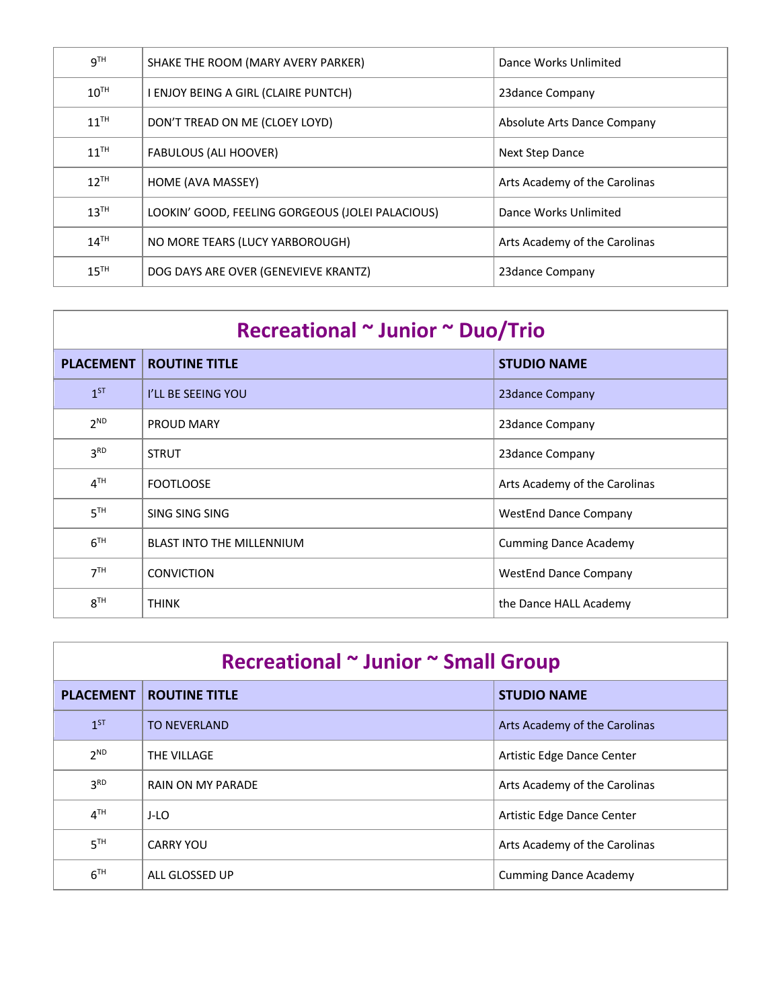| <b>g</b> TH      | SHAKE THE ROOM (MARY AVERY PARKER)               | Dance Works Unlimited         |
|------------------|--------------------------------------------------|-------------------------------|
| $10^{TH}$        | I ENJOY BEING A GIRL (CLAIRE PUNTCH)             | 23dance Company               |
| $11^{\text{TH}}$ | DON'T TREAD ON ME (CLOEY LOYD)                   | Absolute Arts Dance Company   |
| 11 <sup>TH</sup> | <b>FABULOUS (ALI HOOVER)</b>                     | Next Step Dance               |
| $12^{TH}$        | HOME (AVA MASSEY)                                | Arts Academy of the Carolinas |
| 13 <sup>TH</sup> | LOOKIN' GOOD, FEELING GORGEOUS (JOLEI PALACIOUS) | Dance Works Unlimited         |
| $14^{TH}$        | NO MORE TEARS (LUCY YARBOROUGH)                  | Arts Academy of the Carolinas |
| 15 <sup>TH</sup> | DOG DAYS ARE OVER (GENEVIEVE KRANTZ)             | 23dance Company               |

| Recreational ~ Junior ~ Duo/Trio |                                  |                               |
|----------------------------------|----------------------------------|-------------------------------|
| <b>PLACEMENT</b>                 | <b>ROUTINE TITLE</b>             | <b>STUDIO NAME</b>            |
| $1^{ST}$                         | I'LL BE SEEING YOU               | 23 dance Company              |
| $2^{ND}$                         | <b>PROUD MARY</b>                | 23 dance Company              |
| 3 <sup>RD</sup>                  | <b>STRUT</b>                     | 23 dance Company              |
| 4 <sup>TH</sup>                  | <b>FOOTLOOSE</b>                 | Arts Academy of the Carolinas |
| 5 <sup>TH</sup>                  | SING SING SING                   | <b>WestEnd Dance Company</b>  |
| 6 <sup>TH</sup>                  | <b>BLAST INTO THE MILLENNIUM</b> | <b>Cumming Dance Academy</b>  |
| 7 <sup>TH</sup>                  | <b>CONVICTION</b>                | <b>WestEnd Dance Company</b>  |
| 8 <sup>TH</sup>                  | <b>THINK</b>                     | the Dance HALL Academy        |

| Recreational ~ Junior ~ Small Group |                      |                               |
|-------------------------------------|----------------------|-------------------------------|
| <b>PLACEMENT</b>                    | <b>ROUTINE TITLE</b> | <b>STUDIO NAME</b>            |
| $1^{ST}$                            | TO NEVERLAND         | Arts Academy of the Carolinas |
| 2 <sup>ND</sup>                     | THE VILLAGE          | Artistic Edge Dance Center    |
| 3 <sup>RD</sup>                     | RAIN ON MY PARADE    | Arts Academy of the Carolinas |
| 4 <sup>TH</sup>                     | J-LO                 | Artistic Edge Dance Center    |
| 5 <sup>TH</sup>                     | <b>CARRY YOU</b>     | Arts Academy of the Carolinas |
| 6 <sup>TH</sup>                     | ALL GLOSSED UP       | <b>Cumming Dance Academy</b>  |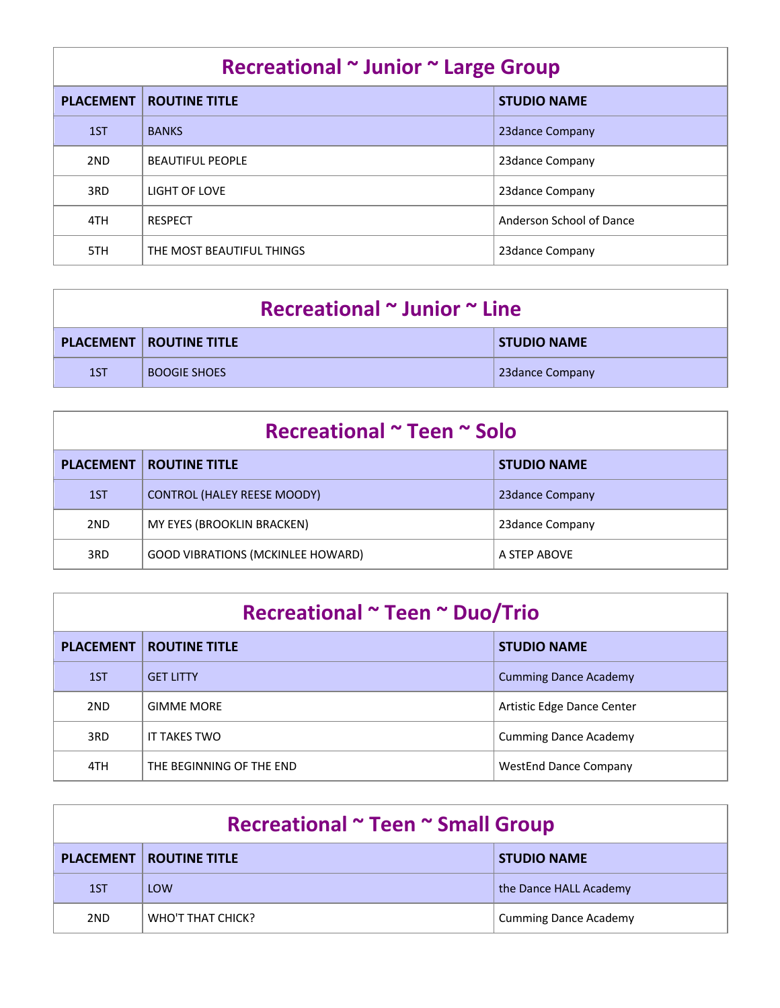| Recreational ~ Junior ~ Large Group |                           |                          |
|-------------------------------------|---------------------------|--------------------------|
| <b>PLACEMENT</b>                    | <b>ROUTINE TITLE</b>      | <b>STUDIO NAME</b>       |
| 1ST                                 | <b>BANKS</b>              | 23 dance Company         |
| 2ND                                 | <b>BEAUTIFUL PEOPLE</b>   | 23 dance Company         |
| 3RD                                 | LIGHT OF LOVE             | 23 dance Company         |
| 4TH                                 | <b>RESPECT</b>            | Anderson School of Dance |
| 5TH                                 | THE MOST BEAUTIFUL THINGS | 23dance Company          |

| Recreational $\sim$ Junior $\sim$ Line |                                  |                    |
|----------------------------------------|----------------------------------|--------------------|
|                                        | <b>PLACEMENT   ROUTINE TITLE</b> | <b>STUDIO NAME</b> |
| 1ST                                    | <b>BOOGIE SHOES</b>              | 23 dance Company   |

| Recreational ~ Teen ~ Solo |                                          |                    |
|----------------------------|------------------------------------------|--------------------|
| <b>PLACEMENT</b>           | <b>ROUTINE TITLE</b>                     | <b>STUDIO NAME</b> |
| 1ST                        | <b>CONTROL (HALEY REESE MOODY)</b>       | 23 dance Company   |
| 2ND                        | MY EYES (BROOKLIN BRACKEN)               | 23 dance Company   |
| 3RD                        | <b>GOOD VIBRATIONS (MCKINLEE HOWARD)</b> | A STEP ABOVE       |

| Recreational ~ Teen ~ Duo/Trio |                          |                              |
|--------------------------------|--------------------------|------------------------------|
| <b>PLACEMENT</b>               | <b>ROUTINE TITLE</b>     | <b>STUDIO NAME</b>           |
| 1ST                            | <b>GFT LITTY</b>         | <b>Cumming Dance Academy</b> |
| 2ND                            | <b>GIMME MORE</b>        | Artistic Edge Dance Center   |
| 3RD                            | IT TAKES TWO             | <b>Cumming Dance Academy</b> |
| 4TH                            | THE BEGINNING OF THE END | <b>WestEnd Dance Company</b> |

| Recreational ~ Teen ~ Small Group |                                  |                              |
|-----------------------------------|----------------------------------|------------------------------|
|                                   | <b>PLACEMENT   ROUTINE TITLE</b> | <b>STUDIO NAME</b>           |
| 1ST                               | LOW                              | the Dance HALL Academy       |
| 2ND                               | WHO'T THAT CHICK?                | <b>Cumming Dance Academy</b> |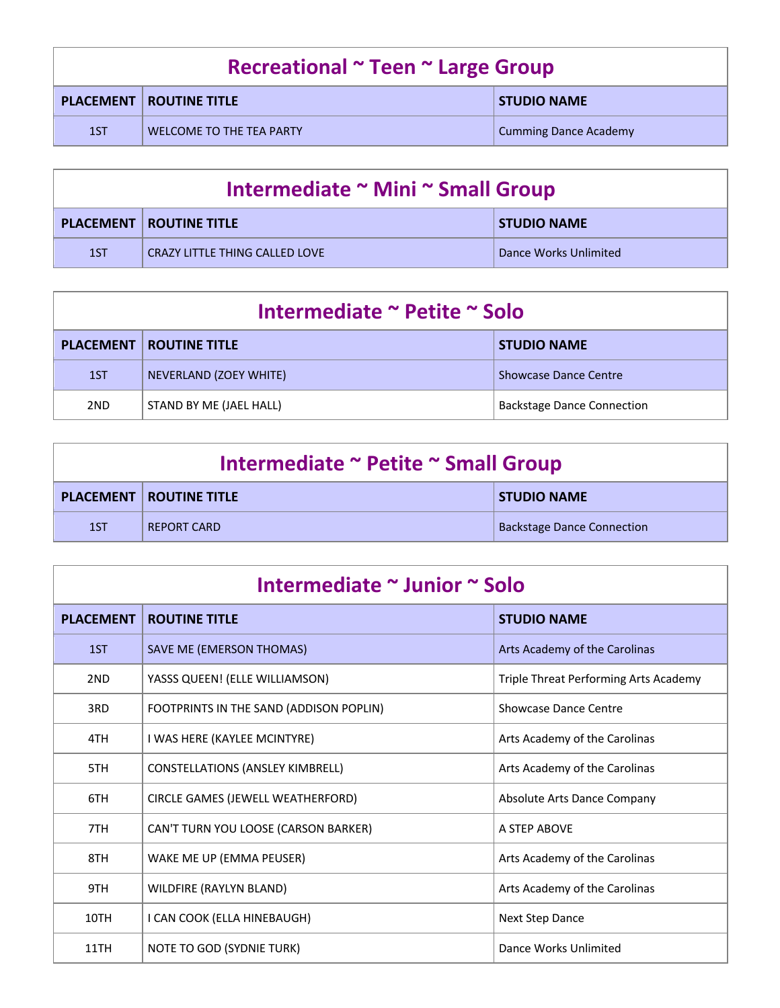| Recreational ~ Teen ~ Large Group |                                  |                              |
|-----------------------------------|----------------------------------|------------------------------|
|                                   | <b>PLACEMENT   ROUTINE TITLE</b> | <b>STUDIO NAME</b>           |
| 1ST                               | WELCOME TO THE TEA PARTY         | <b>Cumming Dance Academy</b> |

| Intermediate ~ Mini ~ Small Group |                                       |                       |
|-----------------------------------|---------------------------------------|-----------------------|
|                                   | <b>PLACEMENT   ROUTINE TITLE</b>      | <b>STUDIO NAME</b>    |
| 1ST                               | <b>CRAZY LITTLE THING CALLED LOVE</b> | Dance Works Unlimited |

| Intermediate ~ Petite ~ Solo |                                  |                                   |
|------------------------------|----------------------------------|-----------------------------------|
|                              | <b>PLACEMENT   ROUTINE TITLE</b> | <b>STUDIO NAME</b>                |
| 1ST                          | NEVERLAND (ZOEY WHITE)           | <b>Showcase Dance Centre</b>      |
| 2ND                          | STAND BY ME (JAEL HALL)          | <b>Backstage Dance Connection</b> |

| Intermediate ~ Petite ~ Small Group |                                  |                                   |
|-------------------------------------|----------------------------------|-----------------------------------|
|                                     | <b>PLACEMENT   ROUTINE TITLE</b> | <b>STUDIO NAME</b>                |
| 1ST                                 | REPORT CARD                      | <b>Backstage Dance Connection</b> |

| Intermediate ~ Junior ~ Solo |                                         |                                       |
|------------------------------|-----------------------------------------|---------------------------------------|
| <b>PLACEMENT</b>             | <b>ROUTINE TITLE</b>                    | <b>STUDIO NAME</b>                    |
| 1ST                          | SAVE ME (EMERSON THOMAS)                | Arts Academy of the Carolinas         |
| 2ND                          | YASSS QUEEN! (ELLE WILLIAMSON)          | Triple Threat Performing Arts Academy |
| 3RD                          | FOOTPRINTS IN THE SAND (ADDISON POPLIN) | Showcase Dance Centre                 |
| 4TH                          | I WAS HERE (KAYLEE MCINTYRE)            | Arts Academy of the Carolinas         |
| 5TH                          | <b>CONSTELLATIONS (ANSLEY KIMBRELL)</b> | Arts Academy of the Carolinas         |
| 6TH                          | CIRCLE GAMES (JEWELL WEATHERFORD)       | Absolute Arts Dance Company           |
| 7TH                          | CAN'T TURN YOU LOOSE (CARSON BARKER)    | A STEP ABOVE                          |
| 8TH                          | WAKE ME UP (EMMA PEUSER)                | Arts Academy of the Carolinas         |
| 9TH                          | WILDFIRE (RAYLYN BLAND)                 | Arts Academy of the Carolinas         |
| 10TH                         | I CAN COOK (ELLA HINEBAUGH)             | <b>Next Step Dance</b>                |
| 11TH                         | NOTE TO GOD (SYDNIE TURK)               | Dance Works Unlimited                 |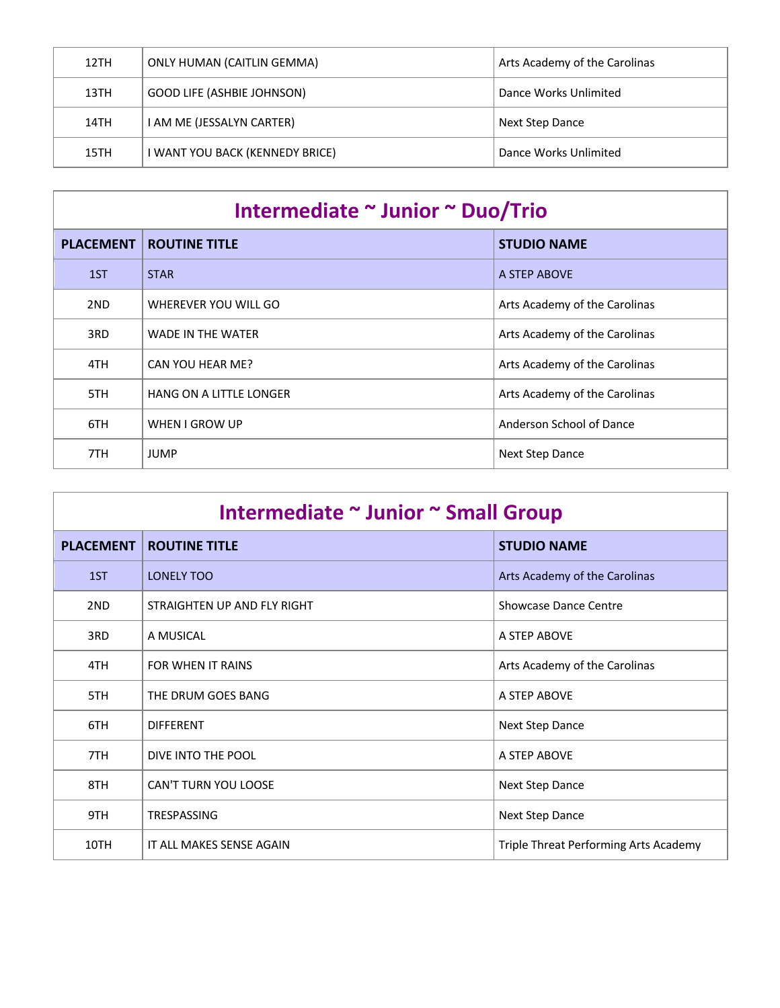| 12TH | <b>ONLY HUMAN (CAITLIN GEMMA)</b> | Arts Academy of the Carolinas |
|------|-----------------------------------|-------------------------------|
| 13TH | <b>GOOD LIFE (ASHBIE JOHNSON)</b> | Dance Works Unlimited         |
| 14TH | I AM ME (JESSALYN CARTER)         | Next Step Dance               |
| 15TH | I WANT YOU BACK (KENNEDY BRICE)   | Dance Works Unlimited         |

| Intermediate ~ Junior ~ Duo/Trio |                          |                               |
|----------------------------------|--------------------------|-------------------------------|
| <b>PLACEMENT</b>                 | <b>ROUTINE TITLE</b>     | <b>STUDIO NAME</b>            |
| 1ST                              | <b>STAR</b>              | A STEP ABOVE                  |
| 2ND                              | WHEREVER YOU WILL GO     | Arts Academy of the Carolinas |
| 3RD                              | <b>WADE IN THE WATER</b> | Arts Academy of the Carolinas |
| 4TH                              | CAN YOU HEAR ME?         | Arts Academy of the Carolinas |
| 5TH                              | HANG ON A LITTLE LONGER  | Arts Academy of the Carolinas |
| 6TH                              | WHEN I GROW UP           | Anderson School of Dance      |
| 7TH                              | <b>JUMP</b>              | <b>Next Step Dance</b>        |

| Intermediate ~ Junior ~ Small Group |                             |                                       |
|-------------------------------------|-----------------------------|---------------------------------------|
| <b>PLACEMENT</b>                    | <b>ROUTINE TITLE</b>        | <b>STUDIO NAME</b>                    |
| 1ST                                 | <b>LONELY TOO</b>           | Arts Academy of the Carolinas         |
| 2ND                                 | STRAIGHTEN UP AND FLY RIGHT | <b>Showcase Dance Centre</b>          |
| 3RD                                 | A MUSICAL                   | A STEP ABOVE                          |
| 4TH                                 | FOR WHEN IT RAINS           | Arts Academy of the Carolinas         |
| 5TH                                 | THE DRUM GOES BANG          | A STEP ABOVE                          |
| 6TH                                 | <b>DIFFERENT</b>            | Next Step Dance                       |
| 7TH                                 | DIVE INTO THE POOL          | A STEP ABOVE                          |
| 8TH                                 | <b>CAN'T TURN YOU LOOSE</b> | Next Step Dance                       |
| 9TH                                 | <b>TRESPASSING</b>          | Next Step Dance                       |
| 10TH                                | IT ALL MAKES SENSE AGAIN    | Triple Threat Performing Arts Academy |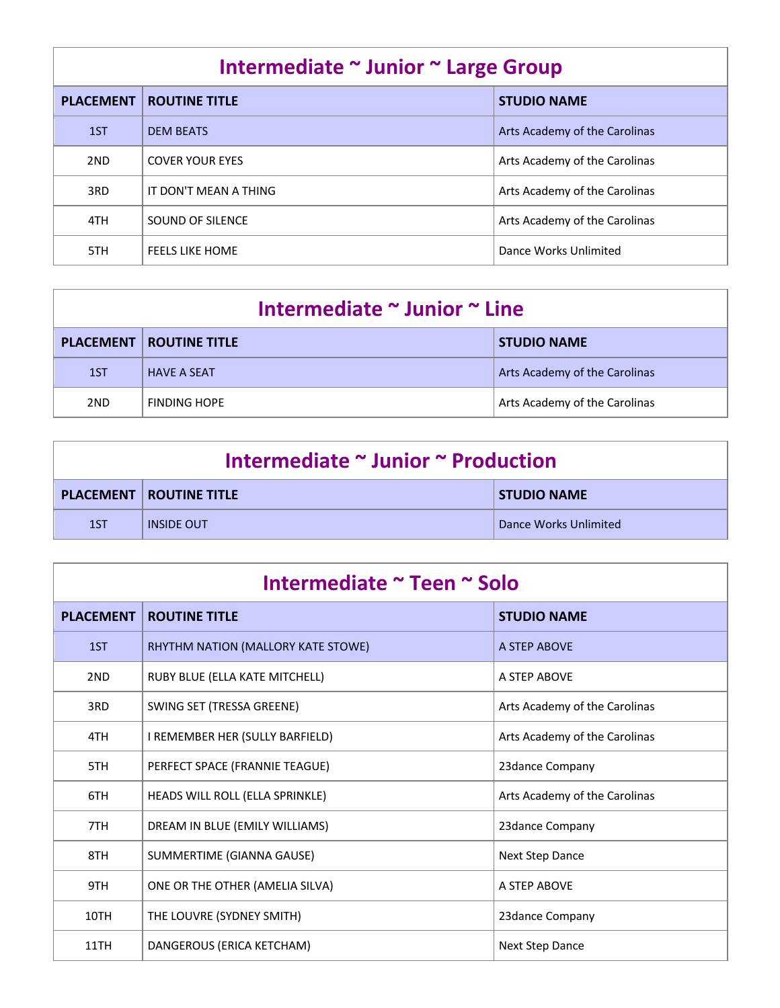| Intermediate ~ Junior ~ Large Group |                        |                               |
|-------------------------------------|------------------------|-------------------------------|
| <b>PLACEMENT</b>                    | <b>ROUTINE TITLE</b>   | <b>STUDIO NAME</b>            |
| 1ST                                 | <b>DEM BEATS</b>       | Arts Academy of the Carolinas |
| 2ND                                 | <b>COVER YOUR EYES</b> | Arts Academy of the Carolinas |
| 3RD                                 | IT DON'T MEAN A THING  | Arts Academy of the Carolinas |
| 4TH                                 | SOUND OF SILENCE       | Arts Academy of the Carolinas |
| 5TH                                 | <b>FEELS LIKE HOME</b> | Dance Works Unlimited         |

| Intermediate ~ Junior ~ Line |                                  |                               |
|------------------------------|----------------------------------|-------------------------------|
|                              | <b>PLACEMENT   ROUTINE TITLE</b> | <b>STUDIO NAME</b>            |
| 1ST                          | <b>HAVE A SEAT</b>               | Arts Academy of the Carolinas |
| 2ND                          | <b>FINDING HOPE</b>              | Arts Academy of the Carolinas |

| Intermediate ~ Junior ~ Production |                                  |                       |
|------------------------------------|----------------------------------|-----------------------|
|                                    | <b>PLACEMENT   ROUTINE TITLE</b> | <b>STUDIO NAME</b>    |
| 1ST                                | <b>INSIDE OUT</b>                | Dance Works Unlimited |

| Intermediate ~ Teen ~ Solo |                                    |                               |
|----------------------------|------------------------------------|-------------------------------|
| <b>PLACEMENT</b>           | <b>ROUTINE TITLE</b>               | <b>STUDIO NAME</b>            |
| 1ST                        | RHYTHM NATION (MALLORY KATE STOWE) | A STEP ABOVE                  |
| 2ND                        | RUBY BLUE (ELLA KATE MITCHELL)     | A STEP ABOVE                  |
| 3RD                        | SWING SET (TRESSA GREENE)          | Arts Academy of the Carolinas |
| 4TH                        | I REMEMBER HER (SULLY BARFIELD)    | Arts Academy of the Carolinas |
| 5TH                        | PERFECT SPACE (FRANNIE TEAGUE)     | 23dance Company               |
| 6TH                        | HEADS WILL ROLL (ELLA SPRINKLE)    | Arts Academy of the Carolinas |
| 7TH                        | DREAM IN BLUE (EMILY WILLIAMS)     | 23dance Company               |
| 8TH                        | SUMMERTIME (GIANNA GAUSE)          | Next Step Dance               |
| 9TH                        | ONE OR THE OTHER (AMELIA SILVA)    | A STEP ABOVE                  |
| 10TH                       | THE LOUVRE (SYDNEY SMITH)          | 23dance Company               |
| 11TH                       | DANGEROUS (ERICA KETCHAM)          | <b>Next Step Dance</b>        |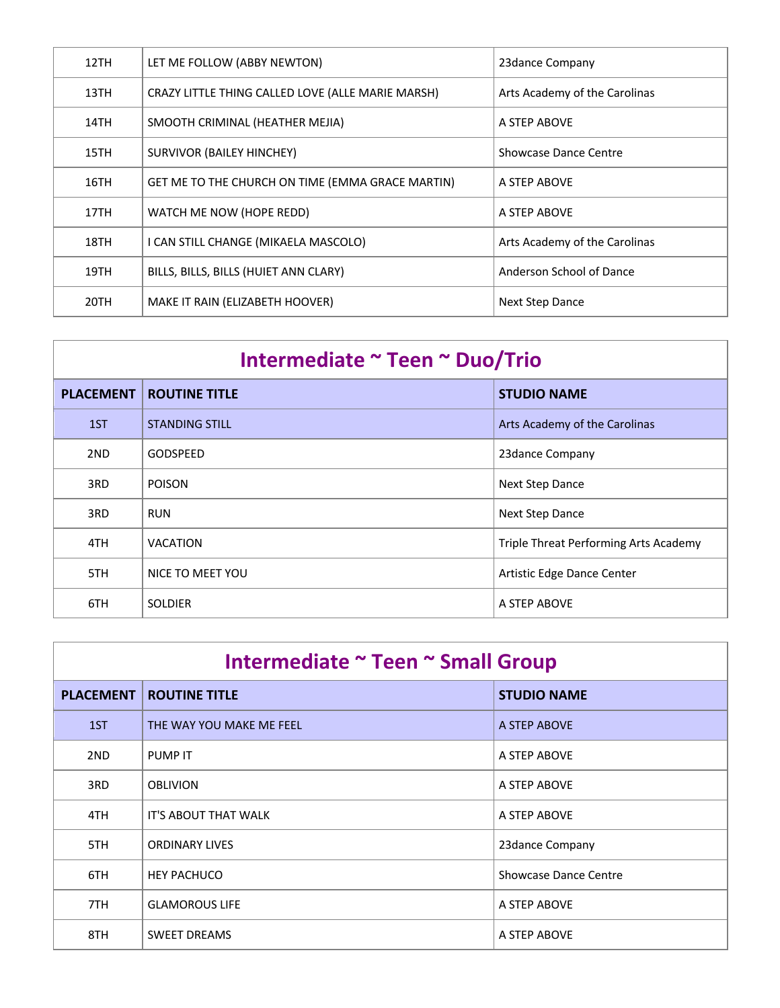| 12TH | LET ME FOLLOW (ABBY NEWTON)                       | 23 dance Company              |
|------|---------------------------------------------------|-------------------------------|
| 13TH | CRAZY LITTLE THING CALLED LOVE (ALLE MARIE MARSH) | Arts Academy of the Carolinas |
| 14TH | SMOOTH CRIMINAL (HEATHER MEJIA)                   | A STEP ABOVE                  |
| 15TH | <b>SURVIVOR (BAILEY HINCHEY)</b>                  | Showcase Dance Centre         |
| 16TH | GET ME TO THE CHURCH ON TIME (EMMA GRACE MARTIN)  | A STEP ABOVE                  |
| 17TH | WATCH ME NOW (HOPE REDD)                          | A STEP ABOVE                  |
| 18TH | I CAN STILL CHANGE (MIKAELA MASCOLO)              | Arts Academy of the Carolinas |
| 19TH | BILLS, BILLS, BILLS (HUIET ANN CLARY)             | Anderson School of Dance      |
| 20TH | MAKE IT RAIN (ELIZABETH HOOVER)                   | Next Step Dance               |

| Intermediate ~ Teen ~ Duo/Trio |                       |                                       |
|--------------------------------|-----------------------|---------------------------------------|
| <b>PLACEMENT</b>               | <b>ROUTINE TITLE</b>  | <b>STUDIO NAME</b>                    |
| 1ST                            | <b>STANDING STILL</b> | Arts Academy of the Carolinas         |
| 2ND                            | GODSPEED              | 23dance Company                       |
| 3RD                            | <b>POISON</b>         | Next Step Dance                       |
| 3RD                            | <b>RUN</b>            | Next Step Dance                       |
| 4TH                            | <b>VACATION</b>       | Triple Threat Performing Arts Academy |
| 5TH                            | NICE TO MEET YOU      | Artistic Edge Dance Center            |
| 6TH                            | <b>SOLDIER</b>        | A STEP ABOVE                          |

| Intermediate ~ Teen ~ Small Group |                          |                              |
|-----------------------------------|--------------------------|------------------------------|
| <b>PLACEMENT</b>                  | <b>ROUTINE TITLE</b>     | <b>STUDIO NAME</b>           |
| 1ST                               | THE WAY YOU MAKE ME FEEL | A STEP ABOVE                 |
| 2ND                               | <b>PUMP IT</b>           | A STEP ABOVE                 |
| 3RD                               | <b>OBLIVION</b>          | A STEP ABOVE                 |
| 4TH                               | IT'S ABOUT THAT WALK     | A STEP ABOVE                 |
| 5TH                               | <b>ORDINARY LIVES</b>    | 23 dance Company             |
| 6TH                               | <b>HEY PACHUCO</b>       | <b>Showcase Dance Centre</b> |
| 7TH                               | <b>GLAMOROUS LIFE</b>    | A STEP ABOVE                 |
| 8TH                               | <b>SWEET DREAMS</b>      | A STEP ABOVE                 |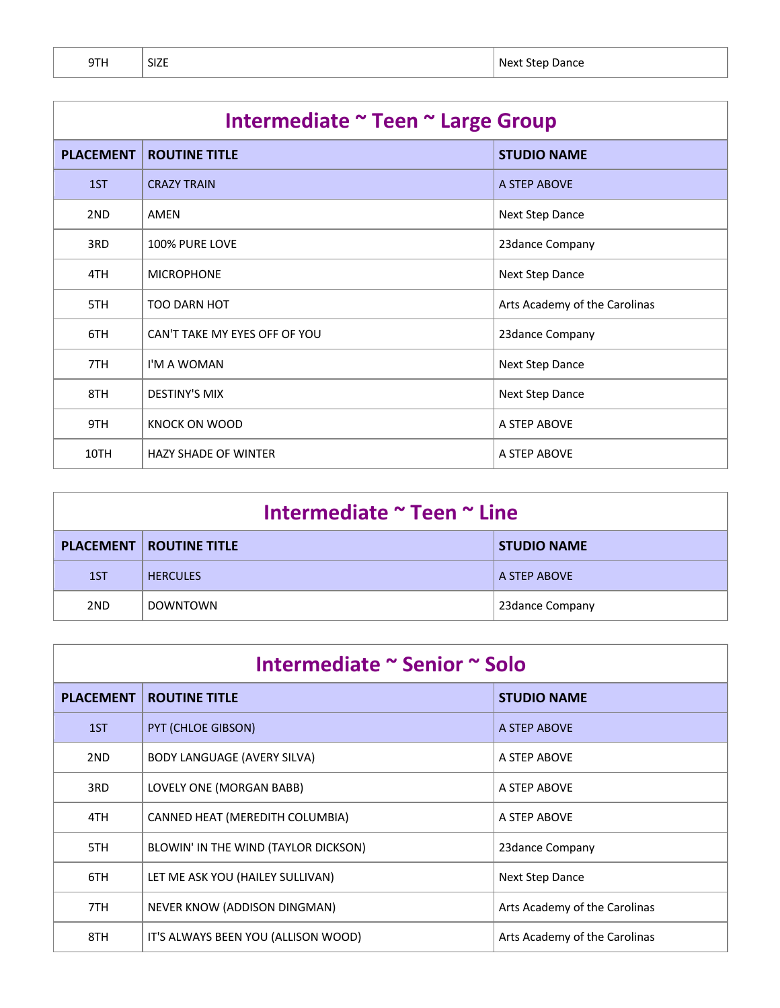|        | г |
|--------|---|
| ı<br>э |   |

| Intermediate ~ Teen ~ Large Group |                               |                               |
|-----------------------------------|-------------------------------|-------------------------------|
| <b>PLACEMENT</b>                  | <b>ROUTINE TITLE</b>          | <b>STUDIO NAME</b>            |
| 1ST                               | <b>CRAZY TRAIN</b>            | A STEP ABOVE                  |
| 2ND                               | AMEN                          | Next Step Dance               |
| 3RD                               | 100% PURE LOVE                | 23dance Company               |
| 4TH                               | <b>MICROPHONE</b>             | Next Step Dance               |
| 5TH                               | <b>TOO DARN HOT</b>           | Arts Academy of the Carolinas |
| 6TH                               | CAN'T TAKE MY EYES OFF OF YOU | 23dance Company               |
| 7TH                               | I'M A WOMAN                   | Next Step Dance               |
| 8TH                               | <b>DESTINY'S MIX</b>          | Next Step Dance               |
| 9TH                               | KNOCK ON WOOD                 | A STEP ABOVE                  |
| 10TH                              | <b>HAZY SHADE OF WINTER</b>   | A STEP ABOVE                  |

| Intermediate ~ Teen ~ Line |                                  |                    |
|----------------------------|----------------------------------|--------------------|
|                            | <b>PLACEMENT   ROUTINE TITLE</b> | <b>STUDIO NAME</b> |
| 1ST                        | <b>HERCULES</b>                  | A STEP ABOVE       |
| 2 <sub>ND</sub>            | <b>DOWNTOWN</b>                  | 23 dance Company   |

| Intermediate ~ Senior ~ Solo |                                      |                               |
|------------------------------|--------------------------------------|-------------------------------|
| <b>PLACEMENT</b>             | <b>ROUTINE TITLE</b>                 | <b>STUDIO NAME</b>            |
| 1ST                          | PYT (CHLOE GIBSON)                   | A STEP ABOVE                  |
| 2ND                          | BODY LANGUAGE (AVERY SILVA)          | A STEP ABOVE                  |
| 3RD                          | LOVELY ONE (MORGAN BABB)             | A STEP ABOVE                  |
| 4TH                          | CANNED HEAT (MEREDITH COLUMBIA)      | A STEP ABOVE                  |
| 5TH                          | BLOWIN' IN THE WIND (TAYLOR DICKSON) | 23 dance Company              |
| 6TH                          | LET ME ASK YOU (HAILEY SULLIVAN)     | Next Step Dance               |
| 7TH                          | NEVER KNOW (ADDISON DINGMAN)         | Arts Academy of the Carolinas |
| 8TH                          | IT'S ALWAYS BEEN YOU (ALLISON WOOD)  | Arts Academy of the Carolinas |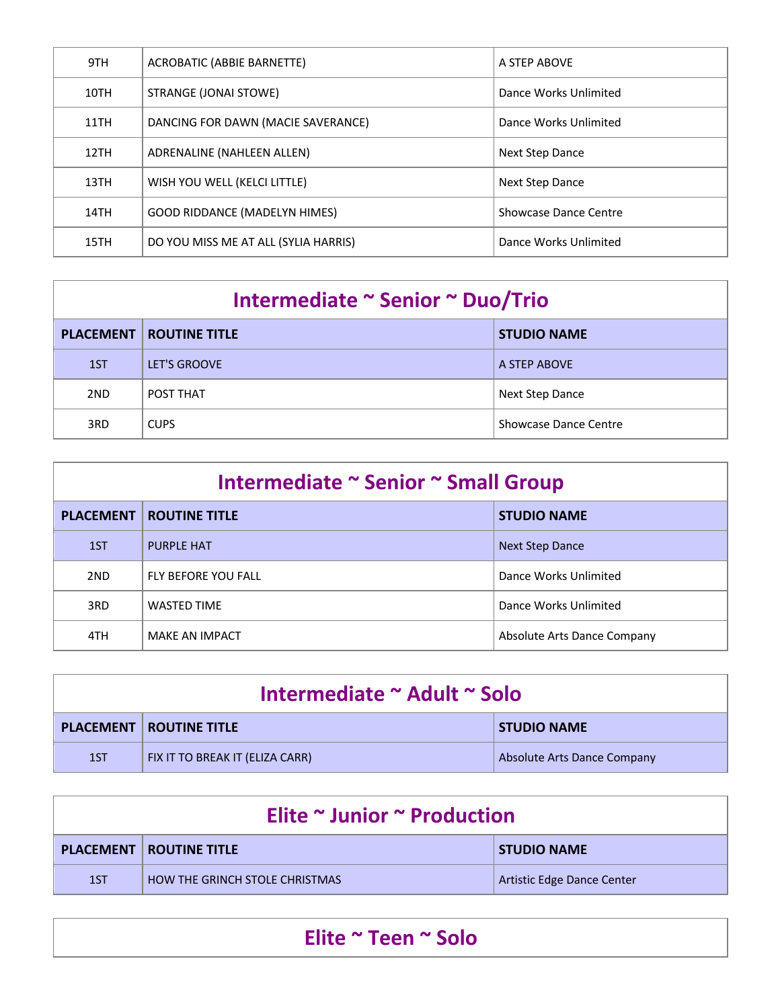| 9TH  | <b>ACROBATIC (ABBIE BARNETTE)</b>    | A STEP ABOVE           |
|------|--------------------------------------|------------------------|
| 10TH | STRANGE (JONAI STOWE)                | Dance Works Unlimited  |
| 11TH | DANCING FOR DAWN (MACIE SAVERANCE)   | Dance Works Unlimited  |
| 12TH | ADRENALINE (NAHLEEN ALLEN)           | <b>Next Step Dance</b> |
| 13TH | WISH YOU WELL (KELCI LITTLE)         | Next Step Dance        |
| 14TH | <b>GOOD RIDDANCE (MADELYN HIMES)</b> | Showcase Dance Centre  |
| 15TH | DO YOU MISS ME AT ALL (SYLIA HARRIS) | Dance Works Unlimited  |

| Intermediate ~ Senior ~ Duo/Trio |                                  |                       |
|----------------------------------|----------------------------------|-----------------------|
|                                  | <b>PLACEMENT   ROUTINE TITLE</b> | <b>STUDIO NAME</b>    |
| 1ST                              | LET'S GROOVE                     | A STEP ABOVE          |
| 2 <sub>ND</sub>                  | POST THAT                        | Next Step Dance       |
| 3RD                              | <b>CUPS</b>                      | Showcase Dance Centre |

| Intermediate ~ Senior ~ Small Group |                       |                             |
|-------------------------------------|-----------------------|-----------------------------|
| <b>PLACEMENT</b>                    | <b>ROUTINE TITLE</b>  | <b>STUDIO NAME</b>          |
| 1ST                                 | PURPLE HAT            | <b>Next Step Dance</b>      |
| 2ND                                 | FLY BEFORE YOU FALL   | Dance Works Unlimited       |
| 3RD                                 | <b>WASTED TIME</b>    | Dance Works Unlimited       |
| 4TH                                 | <b>MAKE AN IMPACT</b> | Absolute Arts Dance Company |

| Intermediate ~ Adult ~ Solo |                                  |                             |
|-----------------------------|----------------------------------|-----------------------------|
|                             | <b>PLACEMENT   ROUTINE TITLE</b> | <b>STUDIO NAME</b>          |
| 1ST                         | FIX IT TO BREAK IT (ELIZA CARR)  | Absolute Arts Dance Company |

| Elite $\sim$ Junior $\sim$ Production |                                  |                            |
|---------------------------------------|----------------------------------|----------------------------|
|                                       | <b>PLACEMENT   ROUTINE TITLE</b> | <b>STUDIO NAME</b>         |
| 1ST                                   | HOW THE GRINCH STOLE CHRISTMAS   | Artistic Edge Dance Center |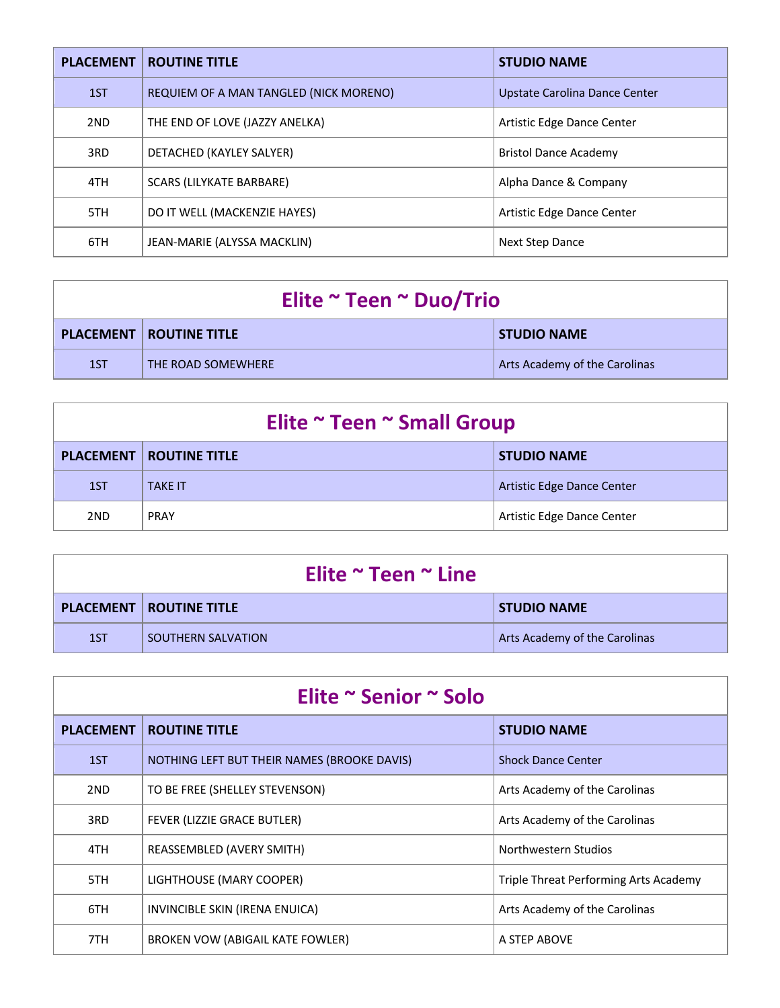| <b>PLACEMENT</b> | <b>ROUTINE TITLE</b>                   | <b>STUDIO NAME</b>            |
|------------------|----------------------------------------|-------------------------------|
| 1ST              | REQUIEM OF A MAN TANGLED (NICK MORENO) | Upstate Carolina Dance Center |
| 2ND              | THE END OF LOVE (JAZZY ANELKA)         | Artistic Edge Dance Center    |
| 3RD              | DETACHED (KAYLEY SALYER)               | <b>Bristol Dance Academy</b>  |
| 4TH              | SCARS (LILYKATE BARBARE)               | Alpha Dance & Company         |
| 5TH              | DO IT WELL (MACKENZIE HAYES)           | Artistic Edge Dance Center    |
| 6TH              | JEAN-MARIE (ALYSSA MACKLIN)            | <b>Next Step Dance</b>        |

| Elite ~ Teen ~ Duo/Trio |                                  |                               |
|-------------------------|----------------------------------|-------------------------------|
|                         | <b>PLACEMENT   ROUTINE TITLE</b> | <b>STUDIO NAME</b>            |
| 1ST                     | THE ROAD SOMEWHERE               | Arts Academy of the Carolinas |

| Elite ~ Teen ~ Small Group |                                  |                            |
|----------------------------|----------------------------------|----------------------------|
|                            | <b>PLACEMENT   ROUTINE TITLE</b> | <b>STUDIO NAME</b>         |
| 1ST                        | <b>TAKE IT</b>                   | Artistic Edge Dance Center |
| 2 <sub>ND</sub>            | <b>PRAY</b>                      | Artistic Edge Dance Center |

| Elite $\sim$ Teen $\sim$ Line |                                  |                               |
|-------------------------------|----------------------------------|-------------------------------|
|                               | <b>PLACEMENT   ROUTINE TITLE</b> | <b>STUDIO NAME</b>            |
| 1ST                           | SOUTHERN SALVATION               | Arts Academy of the Carolinas |

| Elite ~ Senior ~ Solo |                                             |                                       |
|-----------------------|---------------------------------------------|---------------------------------------|
| <b>PLACEMENT</b>      | <b>ROUTINE TITLE</b>                        | <b>STUDIO NAME</b>                    |
| 1ST                   | NOTHING LEFT BUT THEIR NAMES (BROOKE DAVIS) | <b>Shock Dance Center</b>             |
| 2ND                   | TO BE FREE (SHELLEY STEVENSON)              | Arts Academy of the Carolinas         |
| 3RD                   | FEVER (LIZZIE GRACE BUTLER)                 | Arts Academy of the Carolinas         |
| 4TH                   | REASSEMBLED (AVERY SMITH)                   | Northwestern Studios                  |
| 5TH                   | LIGHTHOUSE (MARY COOPER)                    | Triple Threat Performing Arts Academy |
| 6TH                   | INVINCIBLE SKIN (IRENA ENUICA)              | Arts Academy of the Carolinas         |
| 7TH                   | BROKEN VOW (ABIGAIL KATE FOWLER)            | A STEP ABOVE                          |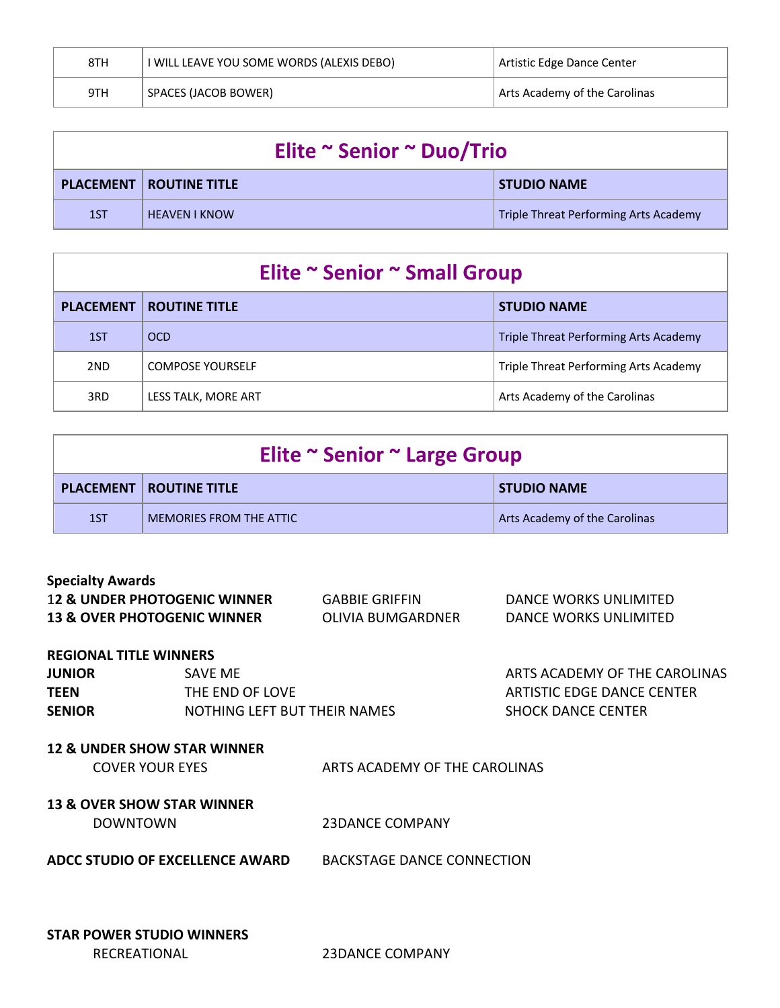| 8TH | I WILL LEAVE YOU SOME WORDS (ALEXIS DEBO) | Artistic Edge Dance Center    |
|-----|-------------------------------------------|-------------------------------|
| 9TH | SPACES (JACOB BOWER)                      | Arts Academy of the Carolinas |

| Elite ~ Senior ~ Duo/Trio |                                  |                                       |
|---------------------------|----------------------------------|---------------------------------------|
|                           | <b>PLACEMENT   ROUTINE TITLE</b> | <b>STUDIO NAME</b>                    |
| 1ST                       | <b>HEAVEN I KNOW</b>             | Triple Threat Performing Arts Academy |

### **Elite ~ Senior ~ Small Group**

| <b>PLACEMENT</b> | <b>ROUTINE TITLE</b>    | <b>STUDIO NAME</b>                    |
|------------------|-------------------------|---------------------------------------|
| 1ST              | <b>OCD</b>              | Triple Threat Performing Arts Academy |
| 2ND              | <b>COMPOSE YOURSELF</b> | Triple Threat Performing Arts Academy |
| 3RD              | LESS TALK, MORE ART     | Arts Academy of the Carolinas         |

| Elite ~ Senior ~ Large Group |                                  |                               |  |
|------------------------------|----------------------------------|-------------------------------|--|
|                              | <b>PLACEMENT   ROUTINE TITLE</b> | <b>STUDIO NAME</b>            |  |
| 1ST                          | MEMORIES FROM THE ATTIC          | Arts Academy of the Carolinas |  |

| <b>Specialty Awards</b>                 |                       |                       |
|-----------------------------------------|-----------------------|-----------------------|
| <b>12 &amp; UNDER PHOTOGENIC WINNER</b> | <b>GABBIE GRIFFIN</b> | DANCE WORKS UNLIMITED |
| <b>13 &amp; OVER PHOTOGENIC WINNER</b>  | OLIVIA BUMGARDNER     | DANCE WORKS UNLIMITED |

#### **REGIONAL TITLE WINNERS**

| SAVE ME                      |
|------------------------------|
| THE END OF LOVE              |
| NOTHING LEFT BUT THEIR NAMES |
|                              |

**ARTS ACADEMY OF THE CAROLINAS ARTISTIC EDGE DANCE CENTER** SENIOR SHOCK DANCE CENTER

#### **12 & UNDER SHOW STAR WINNER**

| <b>COVER YOUR EYES</b> | ARTS ACADEMY OF THE CAROLINAS |
|------------------------|-------------------------------|
|                        |                               |

#### **13 & OVER SHOW STAR WINNER**

| 23DANCE COMPANY |
|-----------------|
|                 |

**ADCC STUDIO OF EXCELLENCE AWARD** BACKSTAGE DANCE CONNECTION